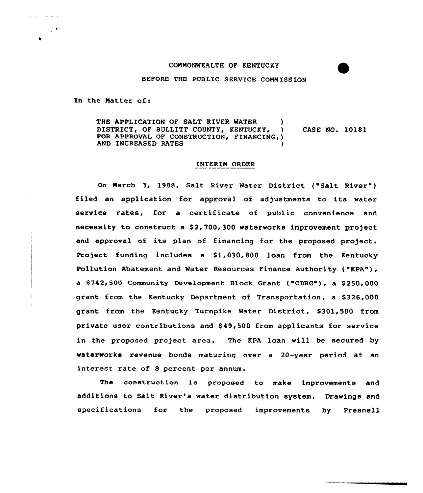## COMMONWEALTH OF KENTUCKY

BEFORE THE PUBLIC SERVICE COMMISSION

In the Natter of:

the communication of the communication

 $\mathcal{L}^{\bullet}$ 

THE APPLICATION OF SALT RIVER WATER (1)<br>DISTRICT. OF BULLITT COUNTY. KENTUCKY. (1) DISTRICT, OF BULLITT COUNTY, KENTUCKY, FOR APPROVAL OF CONSTRUCTION, FINANCING, ) AND INCREASED RATES CASE NO. 10181

# INTERIN ORDER

On March 3, 1988, Salt River Water District ("Salt River") filed an application for approval of adjustments to its water service rates, for a certificate of public convenience and necessity to construct a \$2,700,300 waterworks improvement project and approval of its plan of financing for the proposed project. Project funding includes a  $$1,030,800$  loan from the Kentucky Pollution Abatement and Water Resources Finance Authority ("KPA"), a \$742,500 Community Development Block Grant ("CDBG"), a \$250,000 grant from the Kentucky Department of Transportation, a \$326,000 grant from the Kentucky Turnpike Water District, \$301,500 from private user contributions and \$ 49,500 from applicants for service in the proposed project area. The KPA loan will be secured by waterworks revenue bonds maturing over a 20-year period at an interest rate of 8 percent per annum.

The construction is pxoposed to make impxovements and additions to Salt River's water distribution system. Drawings and specifications for the proposed improvements by Presnell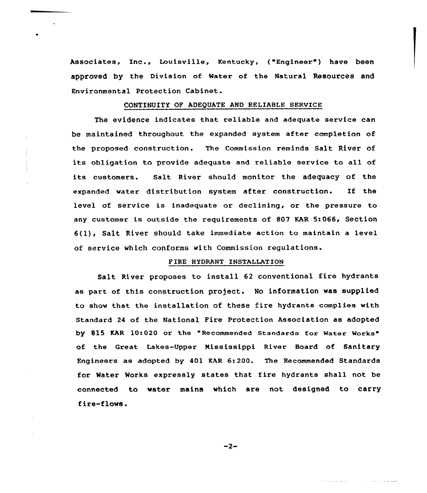Associates, Inc., Louisville, Kentucky, ("Engineer") have been approved by the Division of Mater of the Natural Resources and Environmental Protection Cabinet.

## CONTINUITY OF ADEQUATE AND RELIABLE SERVICE

The evidence indicates that reliable and adequate service can be maintained throughout the expanded system after completion of the proposed construction. The Commission reminds Salt River of its obligation to provide adequate and reliable service to all of its customers. Salt Rivex should monitor the adequacy of the expanded water distribution system after construction. If the level of service is inadequate or declining, or the pressure to any customer is outside the requirements of 807 KAR 5:066, Section 6(l), Salt River should take immediate action to maintain <sup>a</sup> level of service which conforms with Commission regulations.

## PIRE HYDRANT INSTALLATION

Salt River proposes to install <sup>62</sup> conventional fire hydrants as part of this constxuction pxoject. No information was supplied to show that the installation of these fire hydrants complies with Standard 24 of the National Pire protection Association as adopted by 815 KAR 10:020 or the "Recommended Standards for Water Works" of the Great Lakes-Upper Nississippi River Board of Sanitaxy Engineers as adopted by 401 KAR 6:200. The Recommended Standards for Water Works expressly states that fire hydrants shall not be connected to water mains which are not designed to carry fire-flows.

 $-2-$ 

and and actual and

مستوات المتعاديات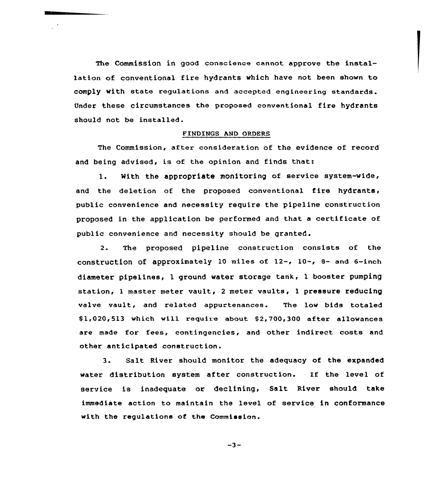The Commission in good conscience cannot approve the installation of conventional fire hydrants vhich have not been shown to comply with state regulations and accepted engineering standards. Under these circumstances the proposed conventional fire hydrants should not be installed.

#### FINDINGS AND ORDERS

The Commission, after consideration of the evidence of record and being advised, is of the opinion and finds that:

1. With the appropriate monitoring of service system-vide, and the deletion of the proposed conventional fire hydrants, public convenience and necessity require the pipeline construction proposed in the application be performed and that a certificate of public convenience and necessity should be granted.

2. The proposed pipeline construction consists of the construction of approximately 10 miles of  $12-$ ,  $10-$ ,  $8-$  and  $6-$ inch diameter pipelines, 1 ground vater storage tank, l booster pumping station, <sup>1</sup> master meter vault, <sup>2</sup> meter vaults, 1 pressure reducing valve vault, and related appurtenances. The low bids totaled \$1,020,513 which will require about \$2,700,300 after allowances are made for fees, contingencies, and other indirect costs and other anticipated construction.

3. Salt River should monitor the adequacy of the expanded water distribution system after construction. If the level of service is inadequate or declining, Salt River should take immediate action to maintain the level of service in conformance with the regulations of the Commission.

 $-3-$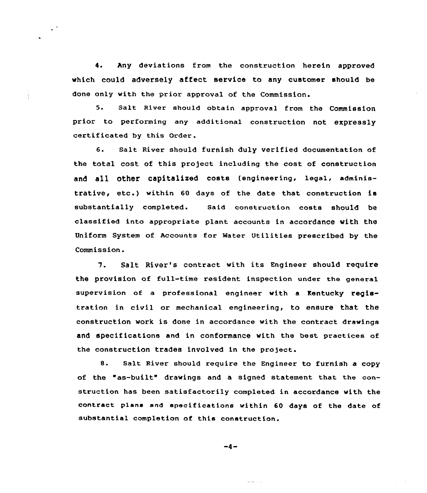4. Any deviations from the construction herein approved which could adversely affect service to any customer should be done only with the prior approval of the Commission.

5. Salt River should obtain approval from the Commission prior to performing any additional construction not expressly certificated by this Order.

6. Salt River should furnish duly verified documentation of the total cost of this project including the cost of construction and all other capitalized costs (engineering, legal, administrative, etc.) within <sup>60</sup> days of the date that construction is substantially completed. Said construction costs should be classified into appropriate plant accounts in accordance with the Uniform System of Accounts for Mater Utilities prescribed by the Commission.

7. Salt River's contract with its Engineer should require the provision of full-time resident inspection under the general supervision of a professional engineer with a Kentucky registration in civil or mechanical engineering, to ensure that the construction work is done in accordance with the contract drawings and specifications and in conformance with the best practices of the construction trades involved in the project.

8. Salt River should require the Engineer to furnish a copy of the "as-built" drawings and a signed statement that the construction has been satisfactorily completed in accordance with the contract plans end specifications within 60 days of the date of substantial completion of this construction.

 $-4-$ 

المنابذ والمستقد